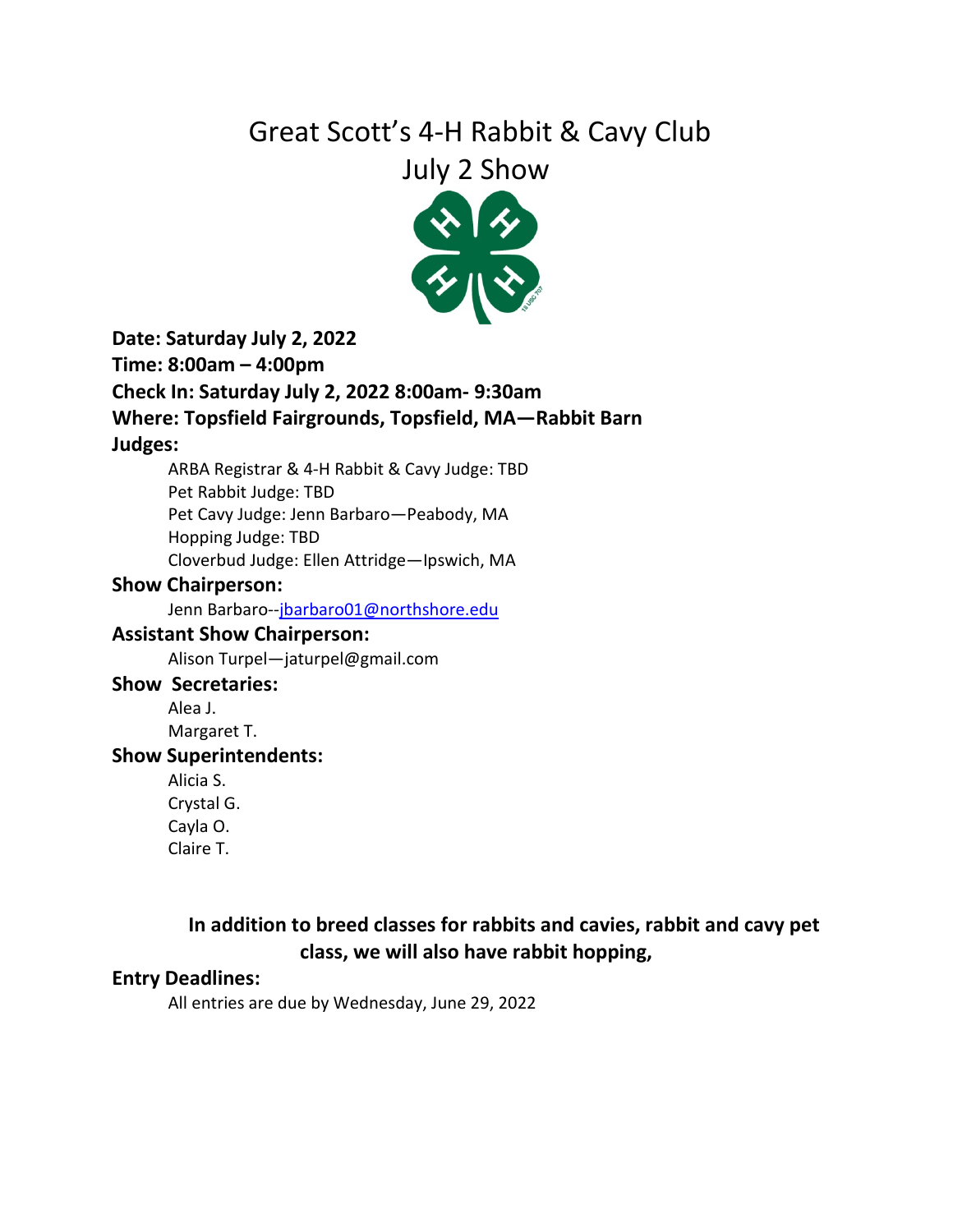# Great Scott's 4-H Rabbit & Cavy Club

## July 2 Show



**Date: Saturday July 2, 2022**

**Time: 8:00am – 4:00pm**

#### **Check In: Saturday July 2, 2022 8:00am- 9:30am**

**Where: Topsfield Fairgrounds, Topsfield, MA—Rabbit Barn**

#### **Judges:**

ARBA Registrar & 4-H Rabbit & Cavy Judge: TBD

Pet Rabbit Judge: TBD

Pet Cavy Judge: Jenn Barbaro—Peabody, MA

Hopping Judge: TBD

Cloverbud Judge: Ellen Attridge—Ipswich, MA

#### **Show Chairperson:**

Jenn Barbaro-[-jbarbaro01@northshore.edu](mailto:jbarbaro01@northshore.edu)

#### **Assistant Show Chairperson:**

Alison Turpel—jaturpel@gmail.com

#### **Show Secretaries:**

Alea J. Margaret T.

#### **Show Superintendents:**

Alicia S. Crystal G. Cayla O. Claire T.

## **In addition to breed classes for rabbits and cavies, rabbit and cavy pet class, we will also have rabbit hopping,**

#### **Entry Deadlines:**

All entries are due by Wednesday, June 29, 2022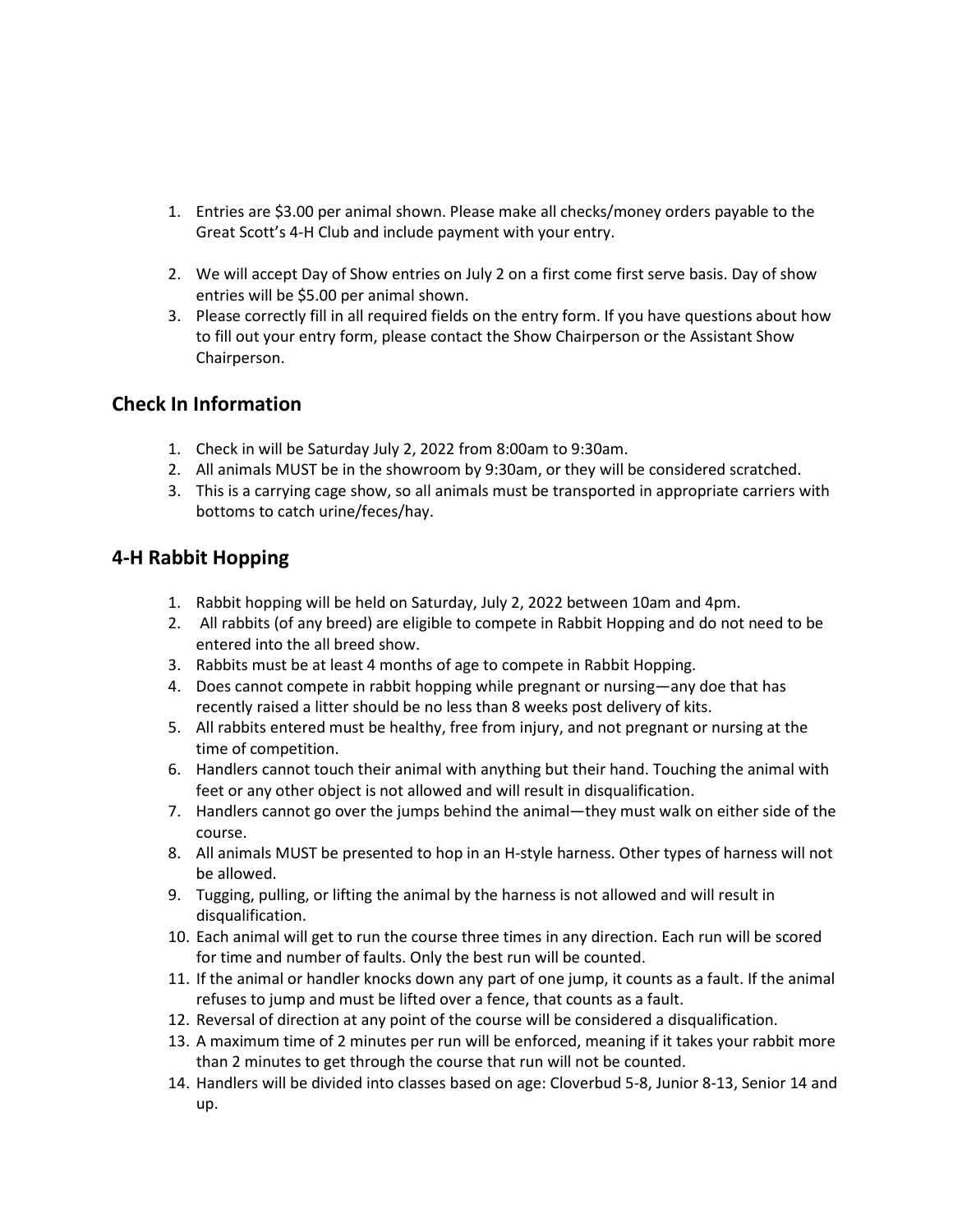- 1. Entries are \$3.00 per animal shown. Please make all checks/money orders payable to the Great Scott's 4-H Club and include payment with your entry.
- 2. We will accept Day of Show entries on July 2 on a first come first serve basis. Day of show entries will be \$5.00 per animal shown.
- 3. Please correctly fill in all required fields on the entry form. If you have questions about how to fill out your entry form, please contact the Show Chairperson or the Assistant Show Chairperson.

#### **Check In Information**

- 1. Check in will be Saturday July 2, 2022 from 8:00am to 9:30am.
- 2. All animals MUST be in the showroom by 9:30am, or they will be considered scratched.
- 3. This is a carrying cage show, so all animals must be transported in appropriate carriers with bottoms to catch urine/feces/hay.

#### **4-H Rabbit Hopping**

- 1. Rabbit hopping will be held on Saturday, July 2, 2022 between 10am and 4pm.
- 2. All rabbits (of any breed) are eligible to compete in Rabbit Hopping and do not need to be entered into the all breed show.
- 3. Rabbits must be at least 4 months of age to compete in Rabbit Hopping.
- 4. Does cannot compete in rabbit hopping while pregnant or nursing—any doe that has recently raised a litter should be no less than 8 weeks post delivery of kits.
- 5. All rabbits entered must be healthy, free from injury, and not pregnant or nursing at the time of competition.
- 6. Handlers cannot touch their animal with anything but their hand. Touching the animal with feet or any other object is not allowed and will result in disqualification.
- 7. Handlers cannot go over the jumps behind the animal—they must walk on either side of the course.
- 8. All animals MUST be presented to hop in an H-style harness. Other types of harness will not be allowed.
- 9. Tugging, pulling, or lifting the animal by the harness is not allowed and will result in disqualification.
- 10. Each animal will get to run the course three times in any direction. Each run will be scored for time and number of faults. Only the best run will be counted.
- 11. If the animal or handler knocks down any part of one jump, it counts as a fault. If the animal refuses to jump and must be lifted over a fence, that counts as a fault.
- 12. Reversal of direction at any point of the course will be considered a disqualification.
- 13. A maximum time of 2 minutes per run will be enforced, meaning if it takes your rabbit more than 2 minutes to get through the course that run will not be counted.
- 14. Handlers will be divided into classes based on age: Cloverbud 5-8, Junior 8-13, Senior 14 and up.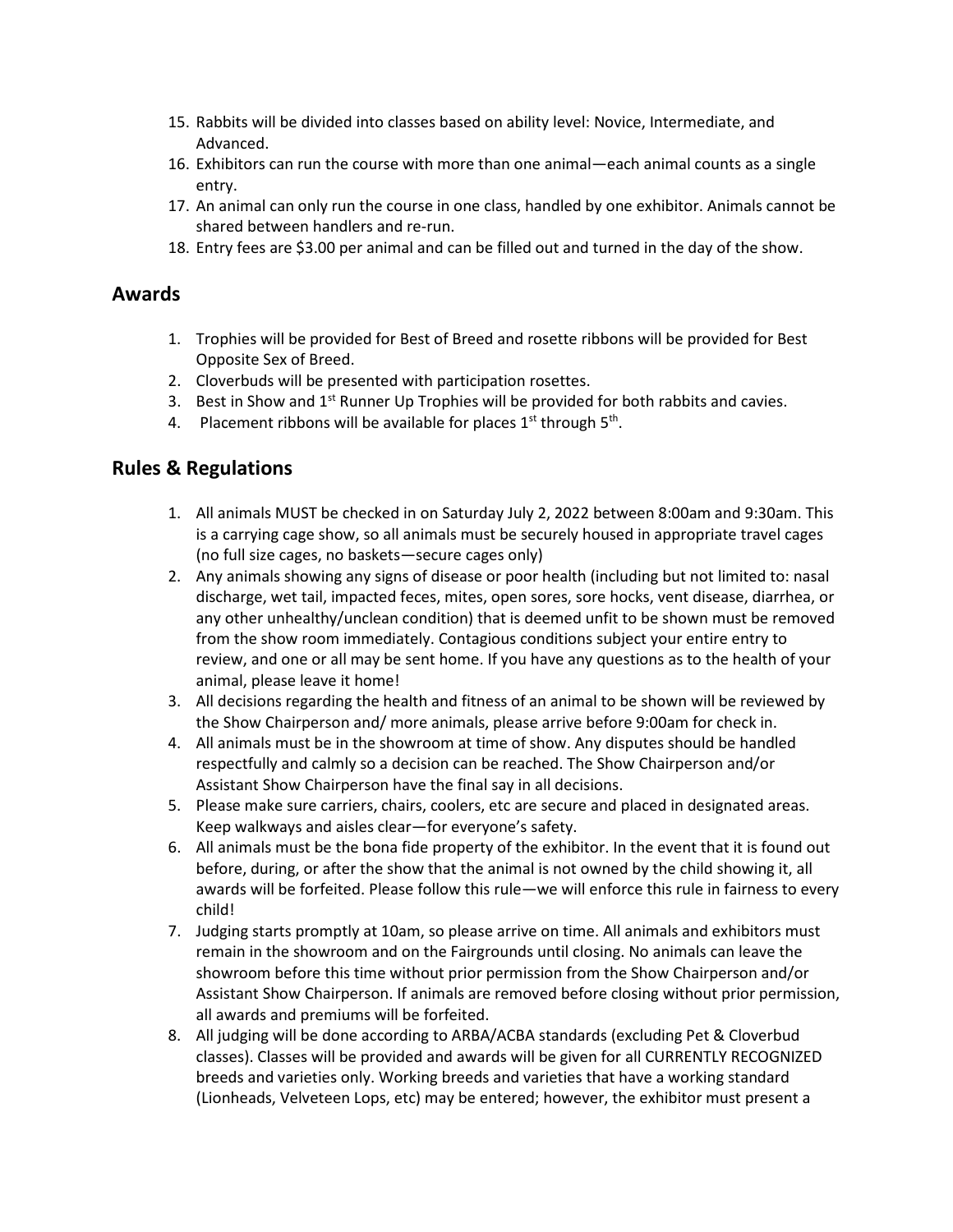- 15. Rabbits will be divided into classes based on ability level: Novice, Intermediate, and Advanced.
- 16. Exhibitors can run the course with more than one animal—each animal counts as a single entry.
- 17. An animal can only run the course in one class, handled by one exhibitor. Animals cannot be shared between handlers and re-run.
- 18. Entry fees are \$3.00 per animal and can be filled out and turned in the day of the show.

#### **Awards**

- 1. Trophies will be provided for Best of Breed and rosette ribbons will be provided for Best Opposite Sex of Breed.
- 2. Cloverbuds will be presented with participation rosettes.
- 3. Best in Show and  $1<sup>st</sup>$  Runner Up Trophies will be provided for both rabbits and cavies.
- 4. Placement ribbons will be available for places  $1<sup>st</sup>$  through  $5<sup>th</sup>$ .

#### **Rules & Regulations**

- 1. All animals MUST be checked in on Saturday July 2, 2022 between 8:00am and 9:30am. This is a carrying cage show, so all animals must be securely housed in appropriate travel cages (no full size cages, no baskets—secure cages only)
- 2. Any animals showing any signs of disease or poor health (including but not limited to: nasal discharge, wet tail, impacted feces, mites, open sores, sore hocks, vent disease, diarrhea, or any other unhealthy/unclean condition) that is deemed unfit to be shown must be removed from the show room immediately. Contagious conditions subject your entire entry to review, and one or all may be sent home. If you have any questions as to the health of your animal, please leave it home!
- 3. All decisions regarding the health and fitness of an animal to be shown will be reviewed by the Show Chairperson and/ more animals, please arrive before 9:00am for check in.
- 4. All animals must be in the showroom at time of show. Any disputes should be handled respectfully and calmly so a decision can be reached. The Show Chairperson and/or Assistant Show Chairperson have the final say in all decisions.
- 5. Please make sure carriers, chairs, coolers, etc are secure and placed in designated areas. Keep walkways and aisles clear—for everyone's safety.
- 6. All animals must be the bona fide property of the exhibitor. In the event that it is found out before, during, or after the show that the animal is not owned by the child showing it, all awards will be forfeited. Please follow this rule—we will enforce this rule in fairness to every child!
- 7. Judging starts promptly at 10am, so please arrive on time. All animals and exhibitors must remain in the showroom and on the Fairgrounds until closing. No animals can leave the showroom before this time without prior permission from the Show Chairperson and/or Assistant Show Chairperson. If animals are removed before closing without prior permission, all awards and premiums will be forfeited.
- 8. All judging will be done according to ARBA/ACBA standards (excluding Pet & Cloverbud classes). Classes will be provided and awards will be given for all CURRENTLY RECOGNIZED breeds and varieties only. Working breeds and varieties that have a working standard (Lionheads, Velveteen Lops, etc) may be entered; however, the exhibitor must present a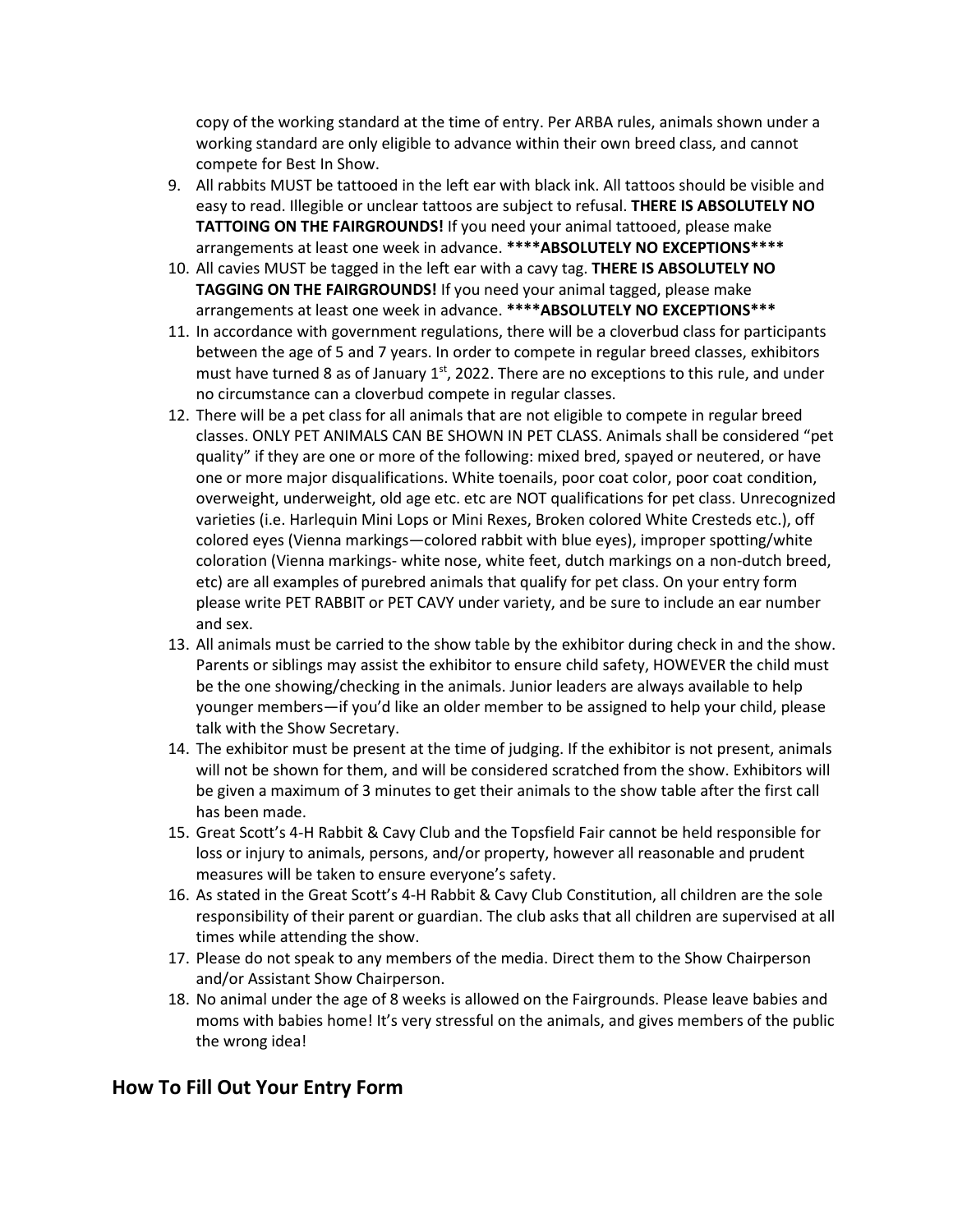copy of the working standard at the time of entry. Per ARBA rules, animals shown under a working standard are only eligible to advance within their own breed class, and cannot compete for Best In Show.

- 9. All rabbits MUST be tattooed in the left ear with black ink. All tattoos should be visible and easy to read. Illegible or unclear tattoos are subject to refusal. **THERE IS ABSOLUTELY NO TATTOING ON THE FAIRGROUNDS!** If you need your animal tattooed, please make arrangements at least one week in advance. **\*\*\*\*ABSOLUTELY NO EXCEPTIONS\*\*\*\***
- 10. All cavies MUST be tagged in the left ear with a cavy tag. **THERE IS ABSOLUTELY NO TAGGING ON THE FAIRGROUNDS!** If you need your animal tagged, please make arrangements at least one week in advance. **\*\*\*\*ABSOLUTELY NO EXCEPTIONS\*\*\***
- 11. In accordance with government regulations, there will be a cloverbud class for participants between the age of 5 and 7 years. In order to compete in regular breed classes, exhibitors must have turned 8 as of January  $1<sup>st</sup>$ , 2022. There are no exceptions to this rule, and under no circumstance can a cloverbud compete in regular classes.
- 12. There will be a pet class for all animals that are not eligible to compete in regular breed classes. ONLY PET ANIMALS CAN BE SHOWN IN PET CLASS. Animals shall be considered "pet quality" if they are one or more of the following: mixed bred, spayed or neutered, or have one or more major disqualifications. White toenails, poor coat color, poor coat condition, overweight, underweight, old age etc. etc are NOT qualifications for pet class. Unrecognized varieties (i.e. Harlequin Mini Lops or Mini Rexes, Broken colored White Cresteds etc.), off colored eyes (Vienna markings—colored rabbit with blue eyes), improper spotting/white coloration (Vienna markings- white nose, white feet, dutch markings on a non-dutch breed, etc) are all examples of purebred animals that qualify for pet class. On your entry form please write PET RABBIT or PET CAVY under variety, and be sure to include an ear number and sex.
- 13. All animals must be carried to the show table by the exhibitor during check in and the show. Parents or siblings may assist the exhibitor to ensure child safety, HOWEVER the child must be the one showing/checking in the animals. Junior leaders are always available to help younger members—if you'd like an older member to be assigned to help your child, please talk with the Show Secretary.
- 14. The exhibitor must be present at the time of judging. If the exhibitor is not present, animals will not be shown for them, and will be considered scratched from the show. Exhibitors will be given a maximum of 3 minutes to get their animals to the show table after the first call has been made.
- 15. Great Scott's 4-H Rabbit & Cavy Club and the Topsfield Fair cannot be held responsible for loss or injury to animals, persons, and/or property, however all reasonable and prudent measures will be taken to ensure everyone's safety.
- 16. As stated in the Great Scott's 4-H Rabbit & Cavy Club Constitution, all children are the sole responsibility of their parent or guardian. The club asks that all children are supervised at all times while attending the show.
- 17. Please do not speak to any members of the media. Direct them to the Show Chairperson and/or Assistant Show Chairperson.
- 18. No animal under the age of 8 weeks is allowed on the Fairgrounds. Please leave babies and moms with babies home! It's very stressful on the animals, and gives members of the public the wrong idea!

#### **How To Fill Out Your Entry Form**